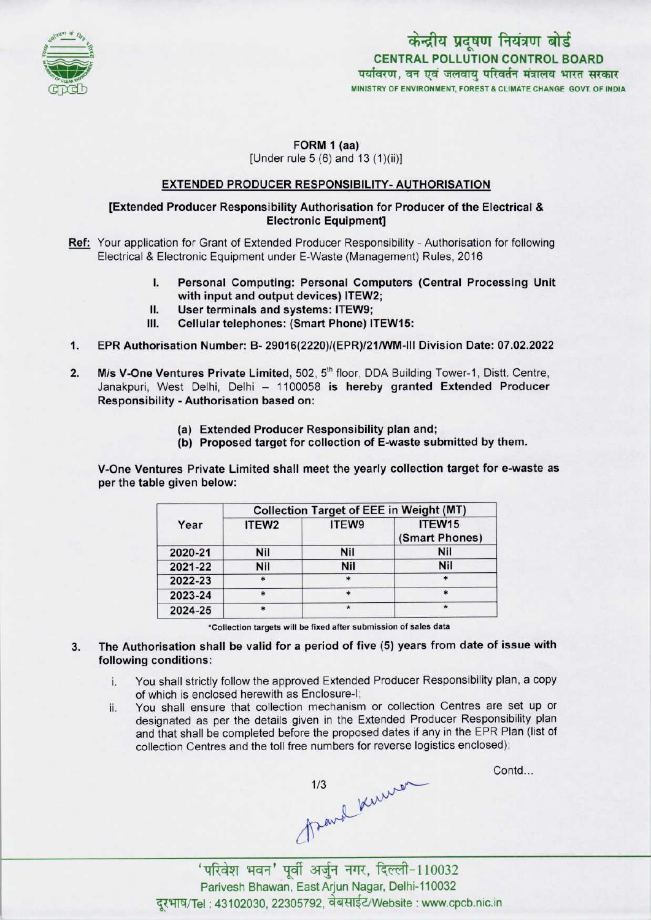

# केन्द्रीय प्रदूषण नियंत्रण बोर्ड CENTRAL POLLUTION CONTROL BOARD<br>पर्यावरण, वन एवं जलवाय परिवर्तन मंत्रालय भारत सरकार MINISTRY OF ENVIRONMENT, FOREST & CLIMATE CHANGE GOVT. OF INDIA

#### FORM 1 (aa) [Under rule 5 (6) and 13 (1)(ii)]

## EXTENDED PRODUCER RESPONSIBILITY- AUTHORISATION

## [Extended Producer Responsibility Authorisation for Producer of the Electrical & Electronic Equipment]

- Ref: Your application for Grant of Extended Producer Responsibility Authorisation for following Electrical & Electronic Equipment under E-Waste (Management) Rules, 2016
	- I. Personal Computing: Personal Computers (Central Processing Unit with input and output devices) 1TEW2; I. Personal Computing: Personal Computing: Versonal Computing: ITEW9;<br>II. User terminals and systems: ITEW9;<br>II. Cellular telephones: (Smart Phone)
	-
	- II. User terminals and systems: ITEW9;<br>III. Cellular telephones: (Smart Phone) ITEW15:
- 1.EPR Authorisation Number: B- 29016(2220)/(EPR)/21/WM-lll Division Date: 07.02.2022
- 2. M/s V-One Ventures Private Limited, 502, 5<sup>th</sup> floor, DDA Building Tower-1, Distt. Centre, Janakpuri, West Delhi, Delhi - 1100058 is hereby granted Extended Producer Responsibility -Authorisation based on:
	- (a)Extended Producer Responsibility plan and;
	- (b) Proposed target for collection of E-waste submitted by them.

V-One Ventures Private Limited shall meet the yearly collection target for e-waste as per the table given below:

| Year    | <b>Collection Target of EEE in Weight (MT)</b> |         |                          |
|---------|------------------------------------------------|---------|--------------------------|
|         | ITEW <sub>2</sub>                              | ITEW9   | ITEW15<br>(Smart Phones) |
| 2020-21 | Nil                                            | Nil     | <b>Nil</b>               |
| 2021-22 | Nil                                            | Nil     | <b>Nil</b>               |
| 2022-23 |                                                | $\star$ |                          |
| 2023-24 |                                                | $\ast$  |                          |
| 2024-25 |                                                |         |                          |

'Collection targets will be fixed after submission of sales data

3. The Authorisation shall be valid for a period of five (5) years from date of issue with following conditions:

- i. You shall strictly follow the approved Extended Producer Responsibility plan, <sup>a</sup> copy of which is enclosed herewith as Enclosure-I;
- ii. You shall ensure that collection mechanism or collection Centres are set up or designated as per the details given in the Extended Producer Responsibility plan and that shall be completed before the proposed dates if any in the EPR Plan (list of collection Centres and the toll free numbers for reverse logistics enclosed);

1/3 Kenner

Contd...

'परिवेश भवन' पूर्वी अर्जुन नगर, दिल्ली-110032 Parivesh Bhawan, EastArjun Nagar, Delhi-110032 दरभाष/Tel: 43102030, 22305792, वेबसाईट/Website : www.cpcb.nic.in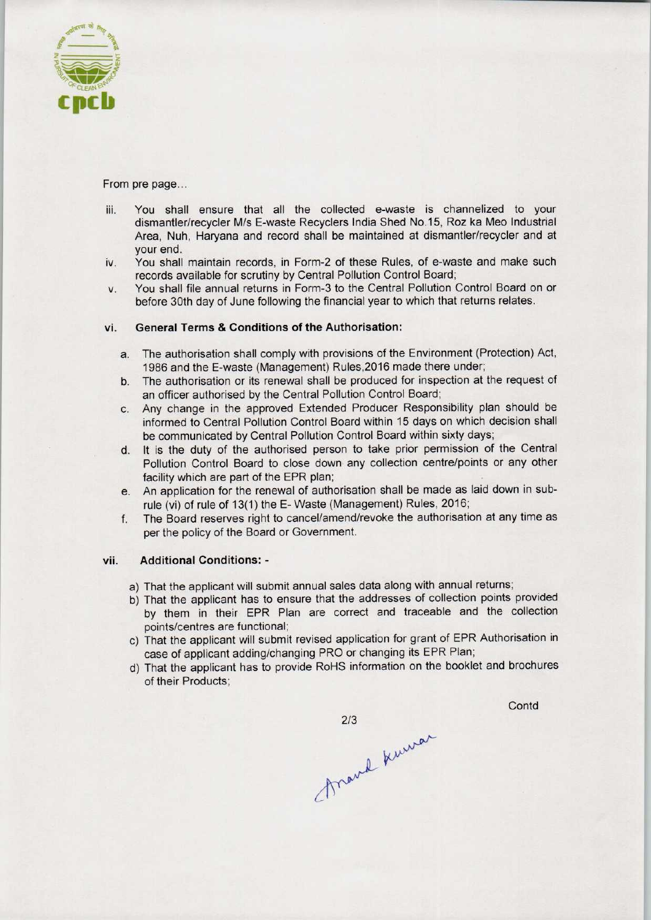

From pre page...

- iii. You shall ensure that all the collected e-waste is channelized to your dismantler/recycler M/s E-waste Recyclers India Shed No.15, Roz ka Meo Industrial Area, Nuh, Haryana and record shall be maintained at dismantler/recycler and at your end.
- iv. You shall maintain records, in Form-2 of these Rules, of e-waste and make such records available for scrutiny by Central Pollution Control Board;
- v. You shall file annual returns in Form-3 to the Central Pollution Control Board on or before 30th day of June following the financial year to which that returns relates.

### vi. General Terms & Conditions of the Authorisation:

- a.The authorisation shall comply with provisions of the Environment (Protection) Act, 1986 and the E-waste (Management) Rules,2016 made there under;
- b.The authorisation or its renewal shall be produced for inspection at the request of an officer authorised by the Central Pollution Control Board;
- c.Any change in the approved Extended Producer Responsibility plan should be informed to Central Pollution Control Board within 15 days on which decision shall be communicated by Central Pollution Control Board within sixty days;
- d. It is the duty of the authorised person to take prior permission of the Central Pollution Control Board to close down any collection centre/points or any other facility which are part of the EPR plan;
- e. An application for the renewal of authorisation shall be made as laid down in subrule (vi) of rule of 13(1) the E-Waste (Management) Rules, 2016;
- f. The Board reserves right to cancel/amend/revoke the authorisation at any time as per the policy of the Board or Government.

#### vii. Additional Conditions: -

- a) That the applicant will submit annual sales data along with annual returns;
- b) That the applicant has to ensure that the addresses of collection points provided by them in their EPR Plan are correct and traceable and the collection points/centres are functional;
- c) That the applicant will submit revised application for grant of EPR Authorisation in case of applicant adding/changing PRO or changing its EPR Plan;
- d)That the applicant has to provide RoHS information on the booklet and brochures of their Products;

**Contd** 

213<br>frank kunner  $2/3$